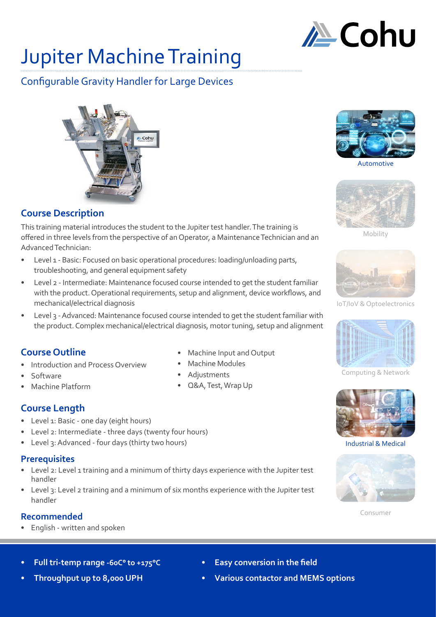

# Jupiter Machine Training

## Configurable Gravity Handler for Large Devices



### **Course Description**

This training material introduces the student to the Jupiter test handler. The training is offered in three levels from the perspective of an Operator, a Maintenance Technician and an Advanced Technician:

- Level 1 Basic: Focused on basic operational procedures: loading/unloading parts, troubleshooting, and general equipment safety
- Level 2 Intermediate: Maintenance focused course intended to get the student familiar with the product. Operational requirements, setup and alignment, device workflows, and mechanical/electrical diagnosis
- Level 3 Advanced: Maintenance focused course intended to get the student familiar with the product. Complex mechanical/electrical diagnosis, motor tuning, setup and alignment

### **Course Outline**

- Introduction and Process Overview
- Software
- Machine Platform
- **Course Length**
- Level 1: Basic one day (eight hours)
- Level 2: Intermediate three days (twenty four hours)
- Level 3: Advanced four days (thirty two hours)

#### **Prerequisites**

- Level 2: Level 1 training and a minimum of thirty days experience with the Jupiter test handler
- Level 3: Level 2 training and a minimum of six months experience with the Jupiter test handler

#### **Recommended**

• English - written and spoken

- Machine Input and Output
- 
- Q&A, Test, Wrap Up



**Automotive** 



Mobility



IoT/IoV & Optoelectronics



Computing & Network



Industrial & Medical



Consumer

- **• Full tri-temp range -60C° to +175°C**
- **• Throughput up to 8,000 UPH**
- **• Easy conversion in the field**
- **• Various contactor and MEMS options**
- **Adjustments**
- 
- 
- 
- 

• Machine Modules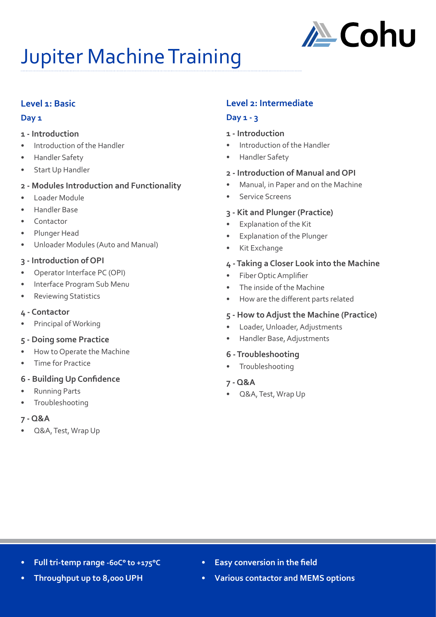

# Jupiter Machine Training

#### **Level 1: Basic**

#### **Day 1**

- **1 Introduction**
- Introduction of the Handler
- Handler Safety
- Start Up Handler

#### **2 - Modules Introduction and Functionality**

- Loader Module
- Handler Base
- Contactor
- Plunger Head
- Unloader Modules (Auto and Manual)

#### **3 - Introduction of OPI**

- Operator Interface PC (OPI)
- Interface Program Sub Menu
- Reviewing Statistics

#### **4 - Contactor**

Principal of Working

#### **5 - Doing some Practice**

- How to Operate the Machine
- Time for Practice
- **6 Building Up Confidence**
- Running Parts
- **Troubleshooting**

#### **7 - Q&A**

• Q&A, Test, Wrap Up

# **Level 2: Intermediate**

# **Day 1 - 3**

- **1 Introduction**
- Introduction of the Handler
- Handler Safety

#### **2 - Introduction of Manual and OPI**

- Manual, in Paper and on the Machine
- Service Screens

#### **3 - Kit and Plunger (Practice)**

- **Explanation of the Kit**
- Explanation of the Plunger
- Kit Exchange

#### **4 - Taking a Closer Look into the Machine**

- Fiber Optic Amplifier
- The inside of the Machine
- How are the different parts related

#### **5 - How to Adjust the Machine (Practice)**

- Loader, Unloader, Adjustments
- Handler Base, Adjustments

#### **6 - Troubleshooting**

• Troubleshooting

#### **7 - Q&A**

• Q&A, Test, Wrap Up

- **• Full tri-temp range -60C° to +175°C**
- **• Throughput up to 8,000 UPH**
- **• Easy conversion in the field**
- **• Various contactor and MEMS options**